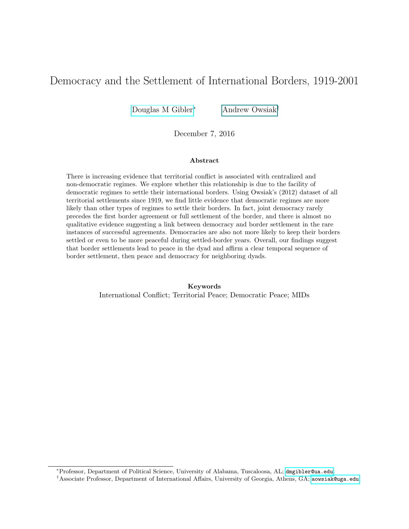# <span id="page-0-0"></span>Democracy and the Settlement of International Borders, 1919-2001

[Douglas M Gibler](http://dmgibler.people.ua.edu/)<sup>∗</sup> Andrew Owsiak<sup>†</sup>

December 7, 2016

#### Abstract

There is increasing evidence that territorial conflict is associated with centralized and non-democratic regimes. We explore whether this relationship is due to the facility of democratic regimes to settle their international borders. Using Owsiak's (2012) dataset of all territorial settlements since 1919, we find little evidence that democratic regimes are more likely than other types of regimes to settle their borders. In fact, joint democracy rarely precedes the first border agreement or full settlement of the border, and there is almost no qualitative evidence suggesting a link between democracy and border settlement in the rare instances of successful agreements. Democracies are also not more likely to keep their borders settled or even to be more peaceful during settled-border years. Overall, our findings suggest that border settlements lead to peace in the dyad and affirm a clear temporal sequence of border settlement, then peace and democracy for neighboring dyads.

> Keywords International Conflict; Territorial Peace; Democratic Peace; MIDs

<sup>∗</sup>Professor, Department of Political Science, University of Alabama, Tuscaloosa, AL; [dmgibler@ua.edu](mailto:dmgibler@ua.edu).

<sup>†</sup>Associate Professor, Department of International Affairs, University of Georgia, Athens, GA; [aowsiak@uga.edu](mailto:aowsiak@uga.edu).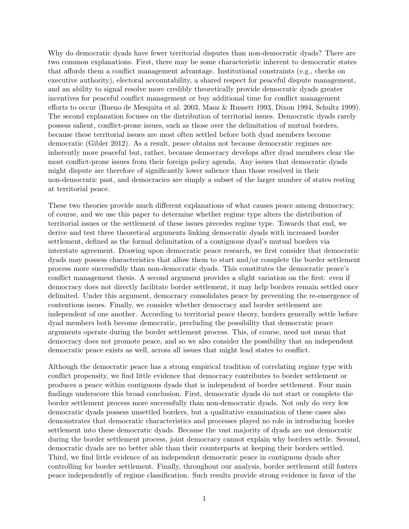Why do democratic dyads have fewer territorial disputes than non-democratic dyads? There are two common explanations. First, there may be some characteristic inherent to democratic states that affords them a conflict management advantage. Institutional constraints (e.g., checks on executive authority), electoral accountability, a shared respect for peaceful dispute management, and an ability to signal resolve more credibly theoretically provide democratic dyads greater incentives for peaceful conflict management or buy additional time for conflict management efforts to occur (Bueno de Mesquita et al. 2003, Maoz & Russett 1993, Dixon 1994, Schultz 1999). The second explanation focuses on the distribution of territorial issues. Democratic dyads rarely possess salient, conflict-prone issues, such as those over the delimitation of mutual borders, because these territorial issues are most often settled before both dyad members become democratic (Gibler 2012). As a result, peace obtains not because democratic regimes are inherently more peaceful but, rather, because democracy develops after dyad members clear the most conflict-prone issues from their foreign policy agenda. Any issues that democratic dyads might dispute are therefore of significantly lower salience than those resolved in their non-democratic past, and democracies are simply a subset of the larger number of states resting at territorial peace.

These two theories provide much different explanations of what causes peace among democracy, of course, and we use this paper to determine whether regime type alters the distribution of territorial issues or the settlement of these issues precedes regime type. Towards that end, we derive and test three theoretical arguments linking democratic dyads with increased border settlement, defined as the formal delimitation of a contiguous dyad's mutual borders via interstate agreement. Drawing upon democratic peace research, we first consider that democratic dyads may possess characteristics that allow them to start and/or complete the border settlement process more successfully than non-democratic dyads. This constitutes the democratic peace's conflict management thesis. A second argument provides a slight variation on the first: even if democracy does not directly facilitate border settlement, it may help borders remain settled once delimited. Under this argument, democracy consolidates peace by preventing the re-emergence of contentious issues. Finally, we consider whether democracy and border settlement are independent of one another. According to territorial peace theory, borders generally settle before dyad members both become democratic, precluding the possibility that democratic peace arguments operate during the border settlement process. This, of course, need not mean that democracy does not promote peace, and so we also consider the possibility that an independent democratic peace exists as well, across all issues that might lead states to conflict.

Although the democratic peace has a strong empirical tradition of correlating regime type with conflict propensity, we find little evidence that democracy contributes to border settlement or produces a peace within contiguous dyads that is independent of border settlement. Four main findings underscore this broad conclusion. First, democratic dyads do not start or complete the border settlement process more successfully than non-democratic dyads. Not only do very few democratic dyads possess unsettled borders, but a qualitative examination of these cases also demonstrates that democratic characteristics and processes played no role in introducing border settlement into these democratic dyads. Because the vast majority of dyads are not democratic during the border settlement process, joint democracy cannot explain why borders settle. Second, democratic dyads are no better able than their counterparts at keeping their borders settled. Third, we find little evidence of an independent democratic peace in contiguous dyads after controlling for border settlement. Finally, throughout our analysis, border settlement still fosters peace independently of regime classification. Such results provide strong evidence in favor of the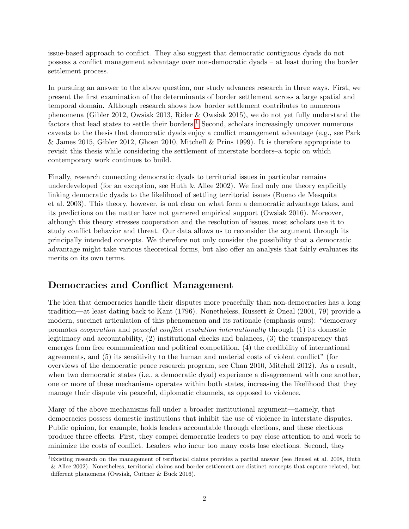issue-based approach to conflict. They also suggest that democratic contiguous dyads do not possess a conflict management advantage over non-democratic dyads – at least during the border settlement process.

In pursuing an answer to the above question, our study advances research in three ways. First, we present the first examination of the determinants of border settlement across a large spatial and temporal domain. Although research shows how border settlement contributes to numerous phenomena (Gibler 2012, Owsiak 2013, Rider & Owsiak 2015), we do not yet fully understand the factors that lead states to settle their borders.<sup>[1](#page-0-0)</sup> Second, scholars increasingly uncover numerous caveats to the thesis that democratic dyads enjoy a conflict management advantage (e.g., see Park & James 2015, Gibler 2012, Ghosn 2010, Mitchell & Prins 1999). It is therefore appropriate to revisit this thesis while considering the settlement of interstate borders–a topic on which contemporary work continues to build.

Finally, research connecting democratic dyads to territorial issues in particular remains underdeveloped (for an exception, see Huth  $\&$  Allee 2002). We find only one theory explicitly linking democratic dyads to the likelihood of settling territorial issues (Bueno de Mesquita et al. 2003). This theory, however, is not clear on what form a democratic advantage takes, and its predictions on the matter have not garnered empirical support (Owsiak 2016). Moreover, although this theory stresses cooperation and the resolution of issues, most scholars use it to study conflict behavior and threat. Our data allows us to reconsider the argument through its principally intended concepts. We therefore not only consider the possibility that a democratic advantage might take various theoretical forms, but also offer an analysis that fairly evaluates its merits on its own terms.

## Democracies and Conflict Management

The idea that democracies handle their disputes more peacefully than non-democracies has a long tradition—at least dating back to Kant (1796). Nonetheless, Russett & Oneal (2001, 79) provide a modern, succinct articulation of this phenomenon and its rationale (emphasis ours): "democracy promotes cooperation and peaceful conflict resolution internationally through (1) its domestic legitimacy and accountability, (2) institutional checks and balances, (3) the transparency that emerges from free communication and political competition, (4) the credibility of international agreements, and (5) its sensitivity to the human and material costs of violent conflict" (for overviews of the democratic peace research program, see Chan 2010, Mitchell 2012). As a result, when two democratic states (i.e., a democratic dyad) experience a disagreement with one another, one or more of these mechanisms operates within both states, increasing the likelihood that they manage their dispute via peaceful, diplomatic channels, as opposed to violence.

Many of the above mechanisms fall under a broader institutional argument—namely, that democracies possess domestic institutions that inhibit the use of violence in interstate disputes. Public opinion, for example, holds leaders accountable through elections, and these elections produce three effects. First, they compel democratic leaders to pay close attention to and work to minimize the costs of conflict. Leaders who incur too many costs lose elections. Second, they

<sup>&</sup>lt;sup>1</sup>Existing research on the management of territorial claims provides a partial answer (see Hensel et al. 2008, Huth & Allee 2002). Nonetheless, territorial claims and border settlement are distinct concepts that capture related, but different phenomena (Owsiak, Cuttner & Buck 2016).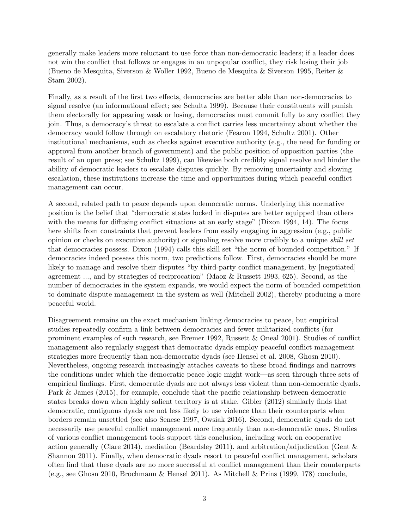generally make leaders more reluctant to use force than non-democratic leaders; if a leader does not win the conflict that follows or engages in an unpopular conflict, they risk losing their job (Bueno de Mesquita, Siverson & Woller 1992, Bueno de Mesquita & Siverson 1995, Reiter & Stam 2002).

Finally, as a result of the first two effects, democracies are better able than non-democracies to signal resolve (an informational effect; see Schultz 1999). Because their constituents will punish them electorally for appearing weak or losing, democracies must commit fully to any conflict they join. Thus, a democracy's threat to escalate a conflict carries less uncertainty about whether the democracy would follow through on escalatory rhetoric (Fearon 1994, Schultz 2001). Other institutional mechanisms, such as checks against executive authority (e.g., the need for funding or approval from another branch of government) and the public position of opposition parties (the result of an open press; see Schultz 1999), can likewise both credibly signal resolve and hinder the ability of democratic leaders to escalate disputes quickly. By removing uncertainty and slowing escalation, these institutions increase the time and opportunities during which peaceful conflict management can occur.

A second, related path to peace depends upon democratic norms. Underlying this normative position is the belief that "democratic states locked in disputes are better equipped than others with the means for diffusing conflict situations at an early stage" (Dixon 1994, 14). The focus here shifts from constraints that prevent leaders from easily engaging in aggression (e.g., public opinion or checks on executive authority) or signaling resolve more credibly to a unique skill set that democracies possess. Dixon (1994) calls this skill set "the norm of bounded competition." If democracies indeed possess this norm, two predictions follow. First, democracies should be more likely to manage and resolve their disputes "by third-party conflict management, by [negotiated] agreement ..., and by strategies of reciprocation" (Maoz & Russett 1993, 625). Second, as the number of democracies in the system expands, we would expect the norm of bounded competition to dominate dispute management in the system as well (Mitchell 2002), thereby producing a more peaceful world.

Disagreement remains on the exact mechanism linking democracies to peace, but empirical studies repeatedly confirm a link between democracies and fewer militarized conflicts (for prominent examples of such research, see Bremer 1992, Russett & Oneal 2001). Studies of conflict management also regularly suggest that democratic dyads employ peaceful conflict management strategies more frequently than non-democratic dyads (see Hensel et al. 2008, Ghosn 2010). Nevertheless, ongoing research increasingly attaches caveats to these broad findings and narrows the conditions under which the democratic peace logic might work—as seen through three sets of empirical findings. First, democratic dyads are not always less violent than non-democratic dyads. Park & James (2015), for example, conclude that the pacific relationship between democratic states breaks down when highly salient territory is at stake. Gibler (2012) similarly finds that democratic, contiguous dyads are not less likely to use violence than their counterparts when borders remain unsettled (see also Senese 1997, Owsiak 2016). Second, democratic dyads do not necessarily use peaceful conflict management more frequently than non-democratic ones. Studies of various conflict management tools support this conclusion, including work on cooperative action generally (Clare 2014), mediation (Beardsley 2011), and arbitration/adjudication (Gent & Shannon 2011). Finally, when democratic dyads resort to peaceful conflict management, scholars often find that these dyads are no more successful at conflict management than their counterparts (e.g., see Ghosn 2010, Brochmann & Hensel 2011). As Mitchell & Prins (1999, 178) conclude,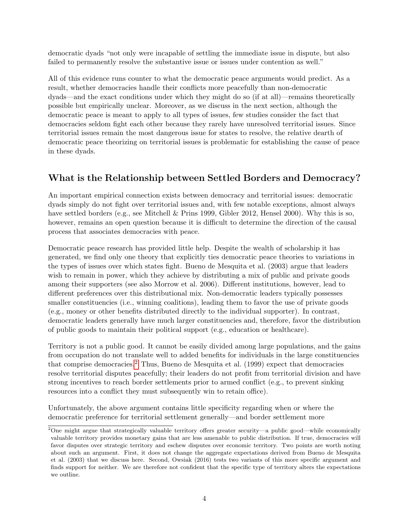democratic dyads "not only were incapable of settling the immediate issue in dispute, but also failed to permanently resolve the substantive issue or issues under contention as well."

All of this evidence runs counter to what the democratic peace arguments would predict. As a result, whether democracies handle their conflicts more peacefully than non-democratic dyads—and the exact conditions under which they might do so (if at all)—remains theoretically possible but empirically unclear. Moreover, as we discuss in the next section, although the democratic peace is meant to apply to all types of issues, few studies consider the fact that democracies seldom fight each other because they rarely have unresolved territorial issues. Since territorial issues remain the most dangerous issue for states to resolve, the relative dearth of democratic peace theorizing on territorial issues is problematic for establishing the cause of peace in these dyads.

## What is the Relationship between Settled Borders and Democracy?

An important empirical connection exists between democracy and territorial issues: democratic dyads simply do not fight over territorial issues and, with few notable exceptions, almost always have settled borders (e.g., see Mitchell & Prins 1999, Gibler 2012, Hensel 2000). Why this is so, however, remains an open question because it is difficult to determine the direction of the causal process that associates democracies with peace.

Democratic peace research has provided little help. Despite the wealth of scholarship it has generated, we find only one theory that explicitly ties democratic peace theories to variations in the types of issues over which states fight. Bueno de Mesquita et al. (2003) argue that leaders wish to remain in power, which they achieve by distributing a mix of public and private goods among their supporters (see also Morrow et al. 2006). Different institutions, however, lead to different preferences over this distributional mix. Non-democratic leaders typically possesses smaller constituencies (i.e., winning coalitions), leading them to favor the use of private goods (e.g., money or other benefits distributed directly to the individual supporter). In contrast, democratic leaders generally have much larger constituencies and, therefore, favor the distribution of public goods to maintain their political support (e.g., education or healthcare).

Territory is not a public good. It cannot be easily divided among large populations, and the gains from occupation do not translate well to added benefits for individuals in the large constituencies that comprise democracies.[2](#page-0-0) Thus, Bueno de Mesquita et al. (1999) expect that democracies resolve territorial disputes peacefully; their leaders do not profit from territorial division and have strong incentives to reach border settlements prior to armed conflict (e.g., to prevent sinking resources into a conflict they must subsequently win to retain office).

Unfortunately, the above argument contains little specificity regarding when or where the democratic preference for territorial settlement generally—and border settlement more

<sup>2</sup>One might argue that strategically valuable territory offers greater security—a public good—while economically valuable territory provides monetary gains that are less amenable to public distribution. If true, democracies will favor disputes over strategic territory and eschew disputes over economic territory. Two points are worth noting about such an argument. First, it does not change the aggregate expectations derived from Bueno de Mesquita et al. (2003) that we discuss here. Second, Owsiak (2016) tests two variants of this more specific argument and finds support for neither. We are therefore not confident that the specific type of territory alters the expectations we outline.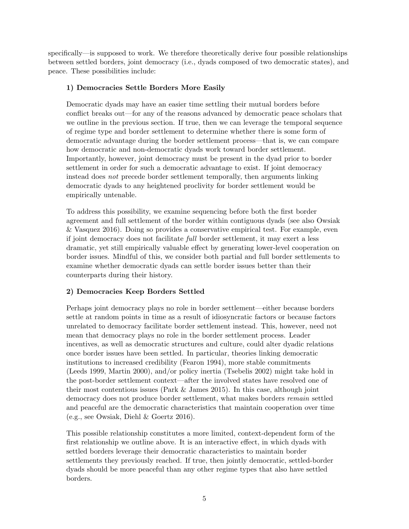specifically—is supposed to work. We therefore theoretically derive four possible relationships between settled borders, joint democracy (i.e., dyads composed of two democratic states), and peace. These possibilities include:

#### 1) Democracies Settle Borders More Easily

Democratic dyads may have an easier time settling their mutual borders before conflict breaks out—for any of the reasons advanced by democratic peace scholars that we outline in the previous section. If true, then we can leverage the temporal sequence of regime type and border settlement to determine whether there is some form of democratic advantage during the border settlement process—that is, we can compare how democratic and non-democratic dyads work toward border settlement. Importantly, however, joint democracy must be present in the dyad prior to border settlement in order for such a democratic advantage to exist. If joint democracy instead does not precede border settlement temporally, then arguments linking democratic dyads to any heightened proclivity for border settlement would be empirically untenable.

To address this possibility, we examine sequencing before both the first border agreement and full settlement of the border within contiguous dyads (see also Owsiak & Vasquez 2016). Doing so provides a conservative empirical test. For example, even if joint democracy does not facilitate full border settlement, it may exert a less dramatic, yet still empirically valuable effect by generating lower-level cooperation on border issues. Mindful of this, we consider both partial and full border settlements to examine whether democratic dyads can settle border issues better than their counterparts during their history.

### 2) Democracies Keep Borders Settled

Perhaps joint democracy plays no role in border settlement—either because borders settle at random points in time as a result of idiosyncratic factors or because factors unrelated to democracy facilitate border settlement instead. This, however, need not mean that democracy plays no role in the border settlement process. Leader incentives, as well as democratic structures and culture, could alter dyadic relations once border issues have been settled. In particular, theories linking democratic institutions to increased credibility (Fearon 1994), more stable commitments (Leeds 1999, Martin 2000), and/or policy inertia (Tsebelis 2002) might take hold in the post-border settlement context—after the involved states have resolved one of their most contentious issues (Park & James 2015). In this case, although joint democracy does not produce border settlement, what makes borders remain settled and peaceful are the democratic characteristics that maintain cooperation over time (e.g., see Owsiak, Diehl & Goertz 2016).

This possible relationship constitutes a more limited, context-dependent form of the first relationship we outline above. It is an interactive effect, in which dyads with settled borders leverage their democratic characteristics to maintain border settlements they previously reached. If true, then jointly democratic, settled-border dyads should be more peaceful than any other regime types that also have settled borders.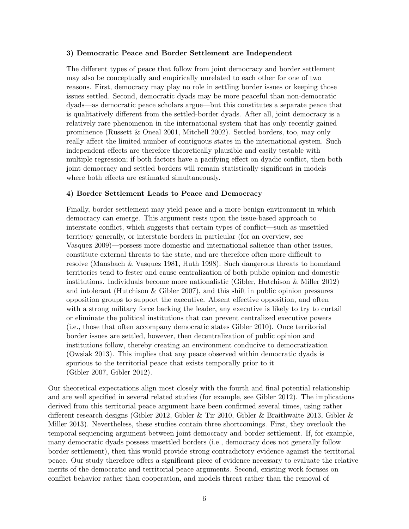#### 3) Democratic Peace and Border Settlement are Independent

The different types of peace that follow from joint democracy and border settlement may also be conceptually and empirically unrelated to each other for one of two reasons. First, democracy may play no role in settling border issues or keeping those issues settled. Second, democratic dyads may be more peaceful than non-democratic dyads—as democratic peace scholars argue—but this constitutes a separate peace that is qualitatively different from the settled-border dyads. After all, joint democracy is a relatively rare phenomenon in the international system that has only recently gained prominence (Russett & Oneal 2001, Mitchell 2002). Settled borders, too, may only really affect the limited number of contiguous states in the international system. Such independent effects are therefore theoretically plausible and easily testable with multiple regression; if both factors have a pacifying effect on dyadic conflict, then both joint democracy and settled borders will remain statistically significant in models where both effects are estimated simultaneously.

#### 4) Border Settlement Leads to Peace and Democracy

Finally, border settlement may yield peace and a more benign environment in which democracy can emerge. This argument rests upon the issue-based approach to interstate conflict, which suggests that certain types of conflict—such as unsettled territory generally, or interstate borders in particular (for an overview, see Vasquez 2009)—possess more domestic and international salience than other issues, constitute external threats to the state, and are therefore often more difficult to resolve (Mansbach & Vasquez 1981, Huth 1998). Such dangerous threats to homeland territories tend to fester and cause centralization of both public opinion and domestic institutions. Individuals become more nationalistic (Gibler, Hutchison & Miller 2012) and intolerant (Hutchison  $\&$  Gibler 2007), and this shift in public opinion pressures opposition groups to support the executive. Absent effective opposition, and often with a strong military force backing the leader, any executive is likely to try to curtail or eliminate the political institutions that can prevent centralized executive powers (i.e., those that often accompany democratic states Gibler 2010). Once territorial border issues are settled, however, then decentralization of public opinion and institutions follow, thereby creating an environment conducive to democratization (Owsiak 2013). This implies that any peace observed within democratic dyads is spurious to the territorial peace that exists temporally prior to it (Gibler 2007, Gibler 2012).

Our theoretical expectations align most closely with the fourth and final potential relationship and are well specified in several related studies (for example, see Gibler 2012). The implications derived from this territorial peace argument have been confirmed several times, using rather different research designs (Gibler 2012, Gibler & Tir 2010, Gibler & Braithwaite 2013, Gibler & Miller 2013). Nevertheless, these studies contain three shortcomings. First, they overlook the temporal sequencing argument between joint democracy and border settlement. If, for example, many democratic dyads possess unsettled borders (i.e., democracy does not generally follow border settlement), then this would provide strong contradictory evidence against the territorial peace. Our study therefore offers a significant piece of evidence necessary to evaluate the relative merits of the democratic and territorial peace arguments. Second, existing work focuses on conflict behavior rather than cooperation, and models threat rather than the removal of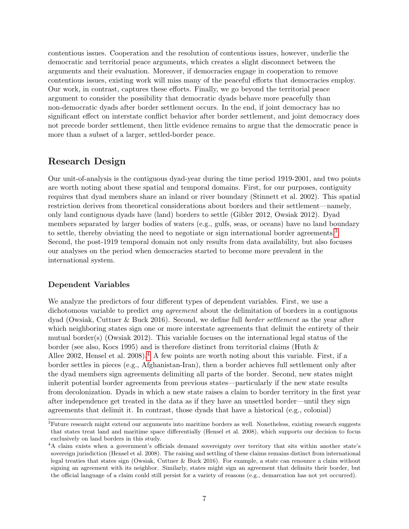contentious issues. Cooperation and the resolution of contentious issues, however, underlie the democratic and territorial peace arguments, which creates a slight disconnect between the arguments and their evaluation. Moreover, if democracies engage in cooperation to remove contentious issues, existing work will miss many of the peaceful efforts that democracies employ. Our work, in contrast, captures these efforts. Finally, we go beyond the territorial peace argument to consider the possibility that democratic dyads behave more peacefully than non-democratic dyads after border settlement occurs. In the end, if joint democracy has no significant effect on interstate conflict behavior after border settlement, and joint democracy does not precede border settlement, then little evidence remains to argue that the democratic peace is more than a subset of a larger, settled-border peace.

## Research Design

Our unit-of-analysis is the contiguous dyad-year during the time period 1919-2001, and two points are worth noting about these spatial and temporal domains. First, for our purposes, contiguity requires that dyad members share an inland or river boundary (Stinnett et al. 2002). This spatial restriction derives from theoretical considerations about borders and their settlement—namely, only land contiguous dyads have (land) borders to settle (Gibler 2012, Owsiak 2012). Dyad members separated by larger bodies of waters (e.g., gulfs, seas, or oceans) have no land boundary to settle, thereby obviating the need to negotiate or sign international border agreements.[3](#page-0-0) Second, the post-1919 temporal domain not only results from data availability, but also focuses our analyses on the period when democracies started to become more prevalent in the international system.

### Dependent Variables

We analyze the predictors of four different types of dependent variables. First, we use a dichotomous variable to predict *any agreement* about the delimitation of borders in a contiguous dyad (Owsiak, Cuttner & Buck 2016). Second, we define full border settlement as the year after which neighboring states sign one or more interstate agreements that delimit the entirety of their mutual border(s) (Owsiak 2012). This variable focuses on the international legal status of the border (see also, Kocs 1995) and is therefore distinct from territorial claims (Huth  $\&$ Allee 2002, Hensel et al. 2008).<sup>[4](#page-0-0)</sup> A few points are worth noting about this variable. First, if a border settles in pieces (e.g., Afghanistan-Iran), then a border achieves full settlement only after the dyad members sign agreements delimiting all parts of the border. Second, new states might inherit potential border agreements from previous states—particularly if the new state results from decolonization. Dyads in which a new state raises a claim to border territory in the first year after independence get treated in the data as if they have an unsettled border—until they sign agreements that delimit it. In contrast, those dyads that have a historical (e.g., colonial)

<sup>3</sup>Future research might extend our arguments into maritime borders as well. Nonetheless, existing research suggests that states treat land and maritime space differentially (Hensel et al. 2008), which supports our decision to focus exclusively on land borders in this study.

<sup>4</sup>A claim exists when a government's officials demand sovereignty over territory that sits within another state's sovereign jurisdiction (Hensel et al. 2008). The raising and settling of these claims remains distinct from international legal treaties that states sign (Owsiak, Cuttner & Buck 2016). For example, a state can renounce a claim without signing an agreement with its neighbor. Similarly, states might sign an agreement that delimits their border, but the official language of a claim could still persist for a variety of reasons (e.g., demarcation has not yet occurred).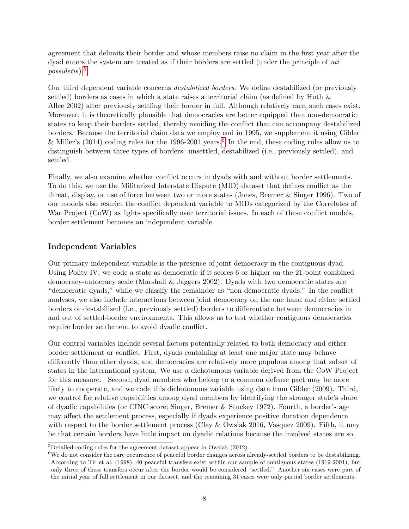agreement that delimits their border and whose members raise no claim in the first year after the dyad enters the system are treated as if their borders are settled (under the principle of uti possidetis).[5](#page-0-0)

Our third dependent variable concerns destabilized borders. We define destabilized (or previously settled) borders as cases in which a state raises a territorial claim (as defined by Huth  $\&$ Allee 2002) after previously settling their border in full. Although relatively rare, such cases exist. Moreover, it is theoretically plausible that democracies are better equipped than non-democratic states to keep their borders settled, thereby avoiding the conflict that can accompany destabilized borders. Because the territorial claim data we employ end in 1995, we supplement it using Gibler & Miller's (2014) coding rules for the 199[6](#page-0-0)-2001 years.<sup>6</sup> In the end, these coding rules allow us to distinguish between three types of borders: unsettled, destabilized (i.e., previously settled), and settled.

Finally, we also examine whether conflict occurs in dyads with and without border settlements. To do this, we use the Militarized Interstate Dispute (MID) dataset that defines conflict as the threat, display, or use of force between two or more states (Jones, Bremer & Singer 1996). Two of our models also restrict the conflict dependent variable to MIDs categorized by the Correlates of War Project (CoW) as fights specifically over territorial issues. In each of these conflict models, border settlement becomes an independent variable.

#### Independent Variables

Our primary independent variable is the presence of joint democracy in the contiguous dyad. Using Polity IV, we code a state as democratic if it scores 6 or higher on the 21-point combined democracy-autocracy scale (Marshall & Jaggers 2002). Dyads with two democratic states are "democratic dyads," while we classify the remainder as "non-democratic dyads." In the conflict analyses, we also include interactions between joint democracy on the one hand and either settled borders or destabilized (i.e., previously settled) borders to differentiate between democracies in and out of settled-border environments. This allows us to test whether contiguous democracies require border settlement to avoid dyadic conflict.

Our control variables include several factors potentially related to both democracy and either border settlement or conflict. First, dyads containing at least one major state may behave differently than other dyads, and democracies are relatively more populous among that subset of states in the international system. We use a dichotomous variable derived from the CoW Project for this measure. Second, dyad members who belong to a common defense pact may be more likely to cooperate, and we code this dichotomous variable using data from Gibler (2009). Third, we control for relative capabilities among dyad members by identifying the stronger state's share of dyadic capabilities (or CINC score; Singer, Bremer & Stuckey 1972). Fourth, a border's age may affect the settlement process, especially if dyads experience positive duration dependence with respect to the border settlement process (Clay & Owsiak 2016, Vasquez 2009). Fifth, it may be that certain borders have little impact on dyadic relations because the involved states are so

 ${}^{5}$ Detailed coding rules for the agreement dataset appear in Owsiak (2012).

<sup>&</sup>lt;sup>6</sup>We do not consider the rare occurrence of peaceful border changes across already-settled borders to be destabilizing. According to Tir et al. (1998), 40 peaceful transfers exist within our sample of contiguous states (1919-2001), but only three of these transfers occur after the border would be considered "settled." Another six cases were part of the initial year of full settlement in our dataset, and the remaining 31 cases were only partial border settlements.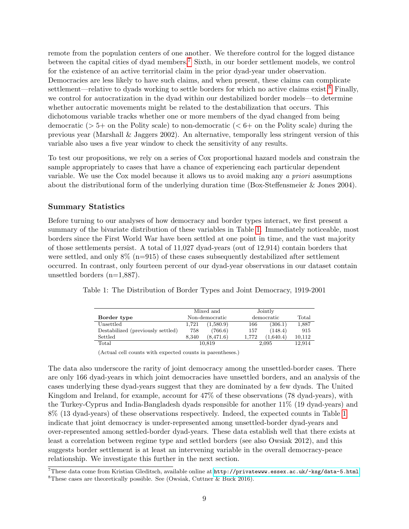remote from the population centers of one another. We therefore control for the logged distance between the capital cities of dyad members.[7](#page-0-0) Sixth, in our border settlement models, we control for the existence of an active territorial claim in the prior dyad-year under observation. Democracies are less likely to have such claims, and when present, these claims can complicate settlement—relative to dyads working to settle borders for which no active claims exist.<sup>[8](#page-0-0)</sup> Finally, we control for autocratization in the dyad within our destabilized border models—to determine whether autocratic movements might be related to the destabilization that occurs. This dichotomous variable tracks whether one or more members of the dyad changed from being democratic ( $> 5+$  on the Polity scale) to non-democratic ( $< 6+$  on the Polity scale) during the previous year (Marshall & Jaggers 2002). An alternative, temporally less stringent version of this variable also uses a five year window to check the sensitivity of any results.

To test our propositions, we rely on a series of Cox proportional hazard models and constrain the sample appropriately to cases that have a chance of experiencing each particular dependent variable. We use the Cox model because it allows us to avoid making any a priori assumptions about the distributional form of the underlying duration time (Box-Steffensmeier & Jones 2004).

#### Summary Statistics

Before turning to our analyses of how democracy and border types interact, we first present a summary of the bivariate distribution of these variables in Table [1.](#page-9-0) Immediately noticeable, most borders since the First World War have been settled at one point in time, and the vast majority of those settlements persist. A total of 11,027 dyad-years (out of 12,914) contain borders that were settled, and only  $8\%$  (n=915) of these cases subsequently destabilized after settlement occurred. In contrast, only fourteen percent of our dyad-year observations in our dataset contain unsettled borders (n=1,887).

<span id="page-9-0"></span>

|                                   | Mixed and      |            |            | Jointly   |        |
|-----------------------------------|----------------|------------|------------|-----------|--------|
| Border type                       | Non-democratic |            | democratic |           | Total  |
| Unsettled                         | 1,721          | (1,580.9)  | 166        | (306.1)   | 1,887  |
| Destabilized (previously settled) | 758            | (766.6)    | 157        | (148.4)   | 915    |
| Settled                           | 8.340          | (8, 471.6) | 1.772      | (1,640.4) | 10,112 |
| Total                             | 10,819         |            | 2,095      | 12,914    |        |

(Actual cell counts with expected counts in parentheses.)

The data also underscore the rarity of joint democracy among the unsettled-border cases. There are only 166 dyad-years in which joint democracies have unsettled borders, and an analysis of the cases underlying these dyad-years suggest that they are dominated by a few dyads. The United Kingdom and Ireland, for example, account for 47% of these observations (78 dyad-years), with the Turkey-Cyprus and India-Bangladesh dyads responsible for another 11% (19 dyad-years) and 8% (13 dyad-years) of these observations respectively. Indeed, the expected counts in Table [1](#page-9-0) indicate that joint democracy is under-represented among unsettled-border dyad-years and over-represented among settled-border dyad-years. These data establish well that there exists at least a correlation between regime type and settled borders (see also Owsiak 2012), and this suggests border settlement is at least an intervening variable in the overall democracy-peace relationship. We investigate this further in the next section.

<sup>7</sup>These data come from Kristian Gleditsch, available online at <http://privatewww.essex.ac.uk/~ksg/data-5.html>. <sup>8</sup>These cases are theoretically possible. See (Owsiak, Cuttner & Buck 2016).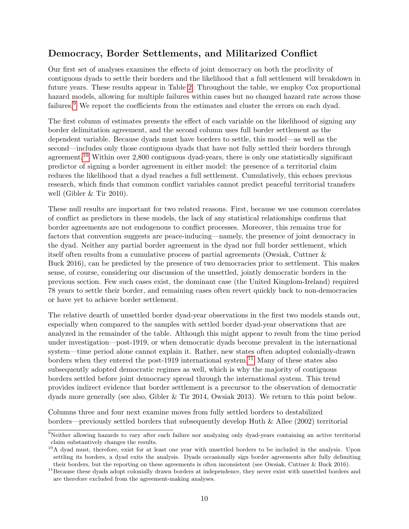# Democracy, Border Settlements, and Militarized Conflict

Our first set of analyses examines the effects of joint democracy on both the proclivity of contiguous dyads to settle their borders and the likelihood that a full settlement will breakdown in future years. These results appear in Table [2.](#page-11-0) Throughout the table, we employ Cox proportional hazard models, allowing for multiple failures within cases but no changed hazard rate across those failures.<sup>[9](#page-0-0)</sup> We report the coefficients from the estimates and cluster the errors on each dyad.

The first column of estimates presents the effect of each variable on the likelihood of signing any border delimitation agreement, and the second column uses full border settlement as the dependent variable. Because dyads must have borders to settle, this model—as well as the second—includes only those contiguous dyads that have not fully settled their borders through agreement.<sup>[10](#page-0-0)</sup> Within over 2,800 contiguous dyad-years, there is only one statistically significant predictor of signing a border agreement in either model: the presence of a territorial claim reduces the likelihood that a dyad reaches a full settlement. Cumulatively, this echoes previous research, which finds that common conflict variables cannot predict peaceful territorial transfers well (Gibler  $&$  Tir 2010).

These null results are important for two related reasons. First, because we use common correlates of conflict as predictors in these models, the lack of any statistical relationships confirms that border agreements are not endogenous to conflict processes. Moreover, this remains true for factors that convention suggests are peace-inducing—namely, the presence of joint democracy in the dyad. Neither any partial border agreement in the dyad nor full border settlement, which itself often results from a cumulative process of partial agreements (Owsiak, Cuttner & Buck 2016), can be predicted by the presence of two democracies prior to settlement. This makes sense, of course, considering our discussion of the unsettled, jointly democratic borders in the previous section. Few such cases exist, the dominant case (the United Kingdom-Ireland) required 78 years to settle their border, and remaining cases often revert quickly back to non-democracies or have yet to achieve border settlement.

The relative dearth of unsettled border dyad-year observations in the first two models stands out, especially when compared to the samples with settled border dyad-year observations that are analyzed in the remainder of the table. Although this might appear to result from the time period under investigation—post-1919, or when democratic dyads become prevalent in the international system—time period alone cannot explain it. Rather, new states often adopted colonially-drawn borders when they entered the post-1919 international system.<sup>[11](#page-0-0)</sup> Many of these states also subsequently adopted democratic regimes as well, which is why the majority of contiguous borders settled before joint democracy spread through the international system. This trend provides indirect evidence that border settlement is a precursor to the observation of democratic dyads more generally (see also, Gibler & Tir 2014, Owsiak 2013). We return to this point below.

Columns three and four next examine moves from fully settled borders to destabilized borders—previously settled borders that subsequently develop Huth & Allee (2002) territorial

<sup>9</sup>Neither allowing hazards to vary after each failure nor analyzing only dyad-years containing an active territorial claim substantively changes the results.

<sup>&</sup>lt;sup>10</sup>A dyad must, therefore, exist for at least one year with unsettled borders to be included in the analysis. Upon settling its borders, a dyad exits the analysis. Dyads occasionally sign border agreements after fully delimiting their borders, but the reporting on these agreements is often inconsistent (see Owsiak, Cuttner & Buck 2016).

 $11$ Because these dyads adopt colonially drawn borders at independence, they never exist with unsettled borders and are therefore excluded from the agreement-making analyses.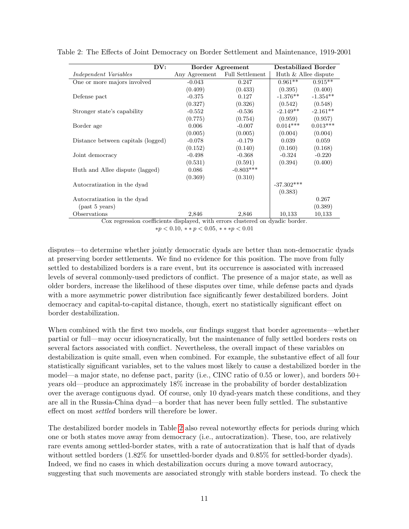| DV:                                                                         | Border Agreement                 |             | <b>Destabilized Border</b> |            |  |
|-----------------------------------------------------------------------------|----------------------------------|-------------|----------------------------|------------|--|
| <i>Independent Variables</i>                                                | Full Settlement<br>Any Agreement |             | Huth & Allee dispute       |            |  |
| One or more majors involved                                                 | $-0.043$                         | 0.247       | $0.961**$                  | $0.915**$  |  |
|                                                                             | (0.409)                          | (0.433)     | (0.395)                    | (0.400)    |  |
| Defense pact                                                                | $-0.375$                         | 0.127       | $-1.376**$                 | $-1.354**$ |  |
|                                                                             | (0.327)                          | (0.326)     | (0.542)                    | (0.548)    |  |
| Stronger state's capability                                                 | $-0.552$                         | $-0.536$    | $-2.149**$                 | $-2.161**$ |  |
|                                                                             | (0.775)                          | (0.754)     | (0.959)                    | (0.957)    |  |
| Border age                                                                  | 0.006                            | $-0.007$    | $0.014***$                 | $0.013***$ |  |
|                                                                             | (0.005)                          | (0.005)     | (0.004)                    | (0.004)    |  |
| Distance between capitals (logged)                                          | $-0.078$                         | $-0.179$    | 0.039                      | 0.059      |  |
|                                                                             | (0.152)                          | (0.140)     | (0.160)                    | (0.168)    |  |
| Joint democracy                                                             | $-0.498$                         | $-0.368$    | $-0.324$                   | $-0.220$   |  |
|                                                                             | (0.531)                          | (0.591)     | (0.394)                    | (0.400)    |  |
| Huth and Allee dispute (lagged)                                             | 0.086                            | $-0.803***$ |                            |            |  |
|                                                                             | (0.369)                          | (0.310)     |                            |            |  |
| Autocratization in the dyad                                                 |                                  |             | $-37.302***$               |            |  |
|                                                                             |                                  |             | (0.383)                    |            |  |
| Autocratization in the dyad                                                 |                                  |             |                            | 0.267      |  |
| (past 5 years)                                                              |                                  |             |                            | (0.389)    |  |
| Observations                                                                | 2,846                            | 2,846       | 10,133                     | 10,133     |  |
| Correspondent coefficients displayed with ennoye eluctored on dradio harder |                                  |             |                            |            |  |

<span id="page-11-0"></span>Table 2: The Effects of Joint Democracy on Border Settlement and Maintenance, 1919-2001

Cox regression coefficients displayed, with errors clustered on dyadic border. ∗p < 0.10, ∗ ∗ p < 0.05, ∗ ∗ ∗p < 0.01

disputes—to determine whether jointly democratic dyads are better than non-democratic dyads at preserving border settlements. We find no evidence for this position. The move from fully settled to destabilized borders is a rare event, but its occurrence is associated with increased levels of several commonly-used predictors of conflict. The presence of a major state, as well as older borders, increase the likelihood of these disputes over time, while defense pacts and dyads with a more asymmetric power distribution face significantly fewer destabilized borders. Joint democracy and capital-to-capital distance, though, exert no statistically significant effect on border destabilization.

When combined with the first two models, our findings suggest that border agreements—whether partial or full—may occur idiosyncratically, but the maintenance of fully settled borders rests on several factors associated with conflict. Nevertheless, the overall impact of these variables on destabilization is quite small, even when combined. For example, the substantive effect of all four statistically significant variables, set to the values most likely to cause a destabilized border in the model—a major state, no defense pact, parity (i.e., CINC ratio of 0.55 or lower), and borders 50+ years old—produce an approximately 18% increase in the probability of border destablization over the average contiguous dyad. Of course, only 10 dyad-years match these conditions, and they are all in the Russia-China dyad—a border that has never been fully settled. The substantive effect on most settled borders will therefore be lower.

The destabilized border models in Table [2](#page-11-0) also reveal noteworthy effects for periods during which one or both states move away from democracy (i.e., autocratization). These, too, are relatively rare events among settled-border states, with a rate of autocratization that is half that of dyads without settled borders (1.82% for unsettled-border dyads and 0.85% for settled-border dyads). Indeed, we find no cases in which destabilization occurs during a move toward autocracy, suggesting that such movements are associated strongly with stable borders instead. To check the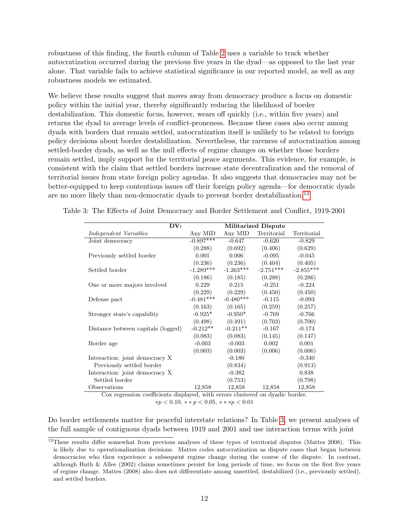robustness of this finding, the fourth column of Table [2](#page-11-0) uses a variable to track whether autocratization occurred during the previous five years in the dyad—as opposed to the last year alone. That variable fails to achieve statistical significance in our reported model, as well as any robustness models we estimated.

We believe these results suggest that moves away from democracy produce a focus on domestic policy within the initial year, thereby significantly reducing the likelihood of border destabilization. This domestic focus, however, wears off quickly (i.e., within five years) and returns the dyad to average levels of conflict-proneness. Because these cases also occur among dyads with borders that remain settled, autocratization itself is unlikely to be related to foreign policy decisions about border destabilization. Nevertheless, the rareness of autocratization among settled-border dyads, as well as the null effects of regime changes on whether those borders remain settled, imply support for the territorial peace arguments. This evidence, for example, is consistent with the claim that settled borders increase state decentralization and the removal of territorial issues from state foreign policy agendas. It also suggests that democracies may not be better-equipped to keep contentious issues off their foreign policy agenda—for democratic dyads are no more likely than non-democratic dyads to prevent border destabilization.<sup>[12](#page-0-0)</sup>

| DV:                                                                            | <b>Militarized Dispute</b> |             |             |             |  |
|--------------------------------------------------------------------------------|----------------------------|-------------|-------------|-------------|--|
| <i>Independent Variables</i>                                                   | Any MID                    | Any MID     | Territorial | Territorial |  |
| Joint democracy                                                                | $-0.897***$                | $-0.647$    | $-0.620$    | $-0.829$    |  |
|                                                                                | (0.288)                    | (0.692)     | (0.406)     | (0.629)     |  |
| Previously settled border                                                      | 0.001                      | 0.006       | $-0.095$    | $-0.045$    |  |
|                                                                                | (0.236)                    | (0.236)     | (0.404)     | (0.405)     |  |
| Settled border                                                                 | $-1.289***$                | $-1.263***$ | $-2.751***$ | $-2.855***$ |  |
|                                                                                | (0.186)                    | (0.185)     | (0.288)     | (0.286)     |  |
| One or more majors involved                                                    | 0.229                      | 0.215       | $-0.251$    | $-0.224$    |  |
|                                                                                | (0.229)                    | (0.229)     | (0.450)     | (0.450)     |  |
| Defense pact                                                                   | $-0.481***$                | $-0.480***$ | $-0.115$    | $-0.093$    |  |
|                                                                                | (0.163)                    | (0.165)     | (0.259)     | (0.257)     |  |
| Stronger state's capability                                                    | $-0.925*$                  | $-0.950*$   | $-0.769$    | $-0.766$    |  |
|                                                                                | (0.498)                    | (0.491)     | (0.703)     | (0.700)     |  |
| Distance between capitals (logged)                                             | $-0.212**$                 | $-0.211**$  | $-0.167$    | $-0.174$    |  |
|                                                                                | (0.083)                    | (0.083)     | (0.145)     | (0.147)     |  |
| Border age                                                                     | $-0.003$                   | $-0.003$    | 0.002       | 0.001       |  |
|                                                                                | (0.003)                    | (0.003)     | (0.006)     | (0.006)     |  |
| Interaction: joint democracy X                                                 |                            | $-0.180$    |             | $-0.340$    |  |
| Previously settled border                                                      |                            | (0.834)     |             | (0.913)     |  |
| Interaction: joint democracy X                                                 |                            | $-0.382$    |             | 0.838       |  |
| Settled border                                                                 |                            | (0.753)     |             | (0.798)     |  |
| Observations                                                                   | 12,858                     | 12,858      | 12,858      | 12,858      |  |
| Cox regression coefficients displayed, with errors clustered on dyadic border. |                            |             |             |             |  |

<span id="page-12-0"></span>Table 3: The Effects of Joint Democracy and Border Settlement and Conflict, 1919-2001

 $*p < 0.10, **p < 0.05, ***p < 0.01$ 

Do border settlements matter for peaceful interstate relations? In Table [3,](#page-12-0) we present analyses of the full sample of contiguous dyads between 1919 and 2001 and use interaction terms with joint

 $12$ These results differ somewhat from previous analyses of these types of territorial disputes (Mattes 2008). This is likely due to operationalization decisions. Mattes codes autocratization as dispute cases that began between democracies who then experience a subsequent regime change during the course of the dispute. In contrast, although Huth & Allee (2002) claims sometimes persist for long periods of time, we focus on the first five years of regime change. Mattes (2008) also does not differentiate among unsettled, destabilized (i.e., previously settled), and settled borders.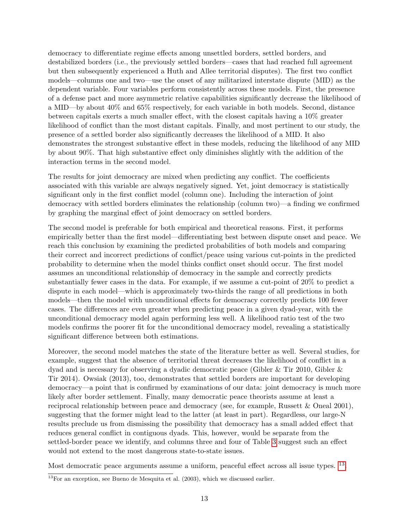democracy to differentiate regime effects among unsettled borders, settled borders, and destabilized borders (i.e., the previously settled borders—cases that had reached full agreement but then subsequently experienced a Huth and Allee territorial disputes). The first two conflict models—columns one and two—use the onset of any militarized interstate dispute (MID) as the dependent variable. Four variables perform consistently across these models. First, the presence of a defense pact and more asymmetric relative capabilities significantly decrease the likelihood of a MID—by about 40% and 65% respectively, for each variable in both models. Second, distance between capitals exerts a much smaller effect, with the closest capitals having a 10% greater likelihood of conflict than the most distant capitals. Finally, and most pertinent to our study, the presence of a settled border also significantly decreases the likelihood of a MID. It also demonstrates the strongest substantive effect in these models, reducing the likelihood of any MID by about 90%. That high substantive effect only diminishes slightly with the addition of the interaction terms in the second model.

The results for joint democracy are mixed when predicting any conflict. The coefficients associated with this variable are always negatively signed. Yet, joint democracy is statistically significant only in the first conflict model (column one). Including the interaction of joint democracy with settled borders eliminates the relationship (column two)—a finding we confirmed by graphing the marginal effect of joint democracy on settled borders.

The second model is preferable for both empirical and theoretical reasons. First, it performs empirically better than the first model—differentiating best between dispute onset and peace. We reach this conclusion by examining the predicted probabilities of both models and comparing their correct and incorrect predictions of conflict/peace using various cut-points in the predicted probability to determine when the model thinks conflict onset should occur. The first model assumes an unconditional relationship of democracy in the sample and correctly predicts substantially fewer cases in the data. For example, if we assume a cut-point of 20% to predict a dispute in each model—which is approximately two-thirds the range of all predictions in both models—then the model with unconditional effects for democracy correctly predicts 100 fewer cases. The differences are even greater when predicting peace in a given dyad-year, with the unconditional democracy model again performing less well. A likelihood ratio test of the two models confirms the poorer fit for the unconditional democracy model, revealing a statistically significant difference between both estimations.

Moreover, the second model matches the state of the literature better as well. Several studies, for example, suggest that the absence of territorial threat decreases the likelihood of conflict in a dyad and is necessary for observing a dyadic democratic peace (Gibler & Tir 2010, Gibler & Tir 2014). Owsiak (2013), too, demonstrates that settled borders are important for developing democracy—a point that is confirmed by examinations of our data: joint democracy is much more likely after border settlement. Finally, many democratic peace theorists assume at least a reciprocal relationship between peace and democracy (see, for example, Russett & Oneal 2001), suggesting that the former might lead to the latter (at least in part). Regardless, our large-N results preclude us from dismissing the possibility that democracy has a small added effect that reduces general conflict in contiguous dyads. This, however, would be separate from the settled-border peace we identify, and columns three and four of Table [3](#page-12-0) suggest such an effect would not extend to the most dangerous state-to-state issues.

Most democratic peace arguments assume a uniform, peaceful effect across all issue types. <sup>[13](#page-0-0)</sup>.

 $\overline{^{13}$  For an exception, see Bueno de Mesquita et al. (2003), which we discussed earlier.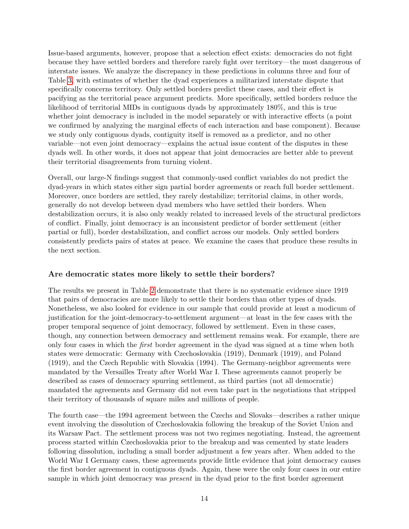Issue-based arguments, however, propose that a selection effect exists: democracies do not fight because they have settled borders and therefore rarely fight over territory—the most dangerous of interstate issues. We analyze the discrepancy in these predictions in columns three and four of Table [3,](#page-12-0) with estimates of whether the dyad experiences a militarized interstate dispute that specifically concerns territory. Only settled borders predict these cases, and their effect is pacifying as the territorial peace argument predicts. More specifically, settled borders reduce the likelihood of territorial MIDs in contiguous dyads by approximately 180%, and this is true whether joint democracy is included in the model separately or with interactive effects (a point we confirmed by analyzing the marginal effects of each interaction and base component). Because we study only contiguous dyads, contiguity itself is removed as a predictor, and no other variable—not even joint democracy—explains the actual issue content of the disputes in these dyads well. In other words, it does not appear that joint democracies are better able to prevent their territorial disagreements from turning violent.

Overall, our large-N findings suggest that commonly-used conflict variables do not predict the dyad-years in which states either sign partial border agreements or reach full border settlement. Moreover, once borders are settled, they rarely destabilize; territorial claims, in other words, generally do not develop between dyad members who have settled their borders. When destabilization occurs, it is also only weakly related to increased levels of the structural predictors of conflict. Finally, joint democracy is an inconsistent predictor of border settlement (either partial or full), border destabilization, and conflict across our models. Only settled borders consistently predicts pairs of states at peace. We examine the cases that produce these results in the next section.

### Are democratic states more likely to settle their borders?

The results we present in Table [2](#page-11-0) demonstrate that there is no systematic evidence since 1919 that pairs of democracies are more likely to settle their borders than other types of dyads. Nonetheless, we also looked for evidence in our sample that could provide at least a modicum of justification for the joint-democracy-to-settlement argument—at least in the few cases with the proper temporal sequence of joint democracy, followed by settlement. Even in these cases, though, any connection between democracy and settlement remains weak. For example, there are only four cases in which the first border agreement in the dyad was signed at a time when both states were democratic: Germany with Czechoslovakia (1919), Denmark (1919), and Poland (1919), and the Czech Republic with Slovakia (1994). The Germany-neighbor agreements were mandated by the Versailles Treaty after World War I. These agreements cannot properly be described as cases of democracy spurring settlement, as third parties (not all democratic) mandated the agreements and Germany did not even take part in the negotiations that stripped their territory of thousands of square miles and millions of people.

The fourth case—the 1994 agreement between the Czechs and Slovaks—describes a rather unique event involving the dissolution of Czechoslovakia following the breakup of the Soviet Union and its Warsaw Pact. The settlement process was not two regimes negotiating. Instead, the agreement process started within Czechoslovakia prior to the breakup and was cemented by state leaders following dissolution, including a small border adjustment a few years after. When added to the World War I Germany cases, these agreements provide little evidence that joint democracy causes the first border agreement in contiguous dyads. Again, these were the only four cases in our entire sample in which joint democracy was *present* in the dyad prior to the first border agreement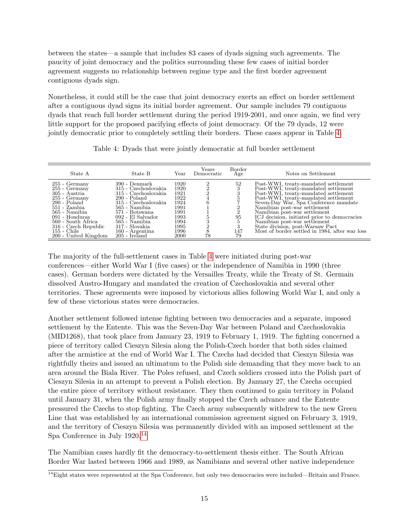between the states—a sample that includes 83 cases of dyads signing such agreements. The paucity of joint democracy and the politics surrounding these few cases of initial border agreement suggests no relationship between regime type and the first border agreement contiguous dyads sign.

Nonetheless, it could still be the case that joint democracy exerts an effect on border settlement after a contiguous dyad signs its initial border agreement. Our sample includes 79 contiguous dyads that reach full border settlement during the period 1919-2001, and once again, we find very little support for the proposed pacifying effects of joint democracy. Of the 79 dyads, 12 were jointly democratic prior to completely settling their borders. These cases appear in Table [4.](#page-15-0)

<span id="page-15-0"></span>

| State A              | State B              | Year | Years<br>Democratic | Border<br>Age                          | Notes on Settlement                                                                                                |
|----------------------|----------------------|------|---------------------|----------------------------------------|--------------------------------------------------------------------------------------------------------------------|
| 255 - Germany        | 390 - Denmark        | 1920 |                     | 52                                     | Post-WWI, treaty-mandated settlement                                                                               |
| 255 - Germany        | 315 - Czechoslovakia | 1920 |                     | 3                                      | Post-WWI, treaty-mandated settlement                                                                               |
| $305$ - Austria      | 315 - Czechoslovakia | 1921 |                     |                                        | Post-WWI, treaty-mandated settlement                                                                               |
| $255$ - Germany      | $290$ - $Poland$     | 1922 |                     |                                        | Post-WWI, treaty-mandated settlement                                                                               |
| $290$ - $Poland$     | 315 - Czechoslovakia | 1924 |                     |                                        | Seven-Day War, Spa Conference mandate                                                                              |
| $551$ - Zambia       | 565 - Namibia        | 1991 |                     |                                        | Namibian post-war settlement                                                                                       |
| 565 - Namibia        | 571 - Botswana       | 1991 |                     | $\overline{2}$                         | Namibian post-war settlement                                                                                       |
| 091 - Honduras       | 092 - El Salvador    | 1993 |                     |                                        | ICJ decision, initiated prior to democracies                                                                       |
| 560 - South Africa   | 565 - Namibia        | 1994 |                     | $\begin{array}{c} 95 \\ 5 \end{array}$ |                                                                                                                    |
| 316 - Czech Republic | 317 - Slovakia       | 1995 |                     |                                        |                                                                                                                    |
| $155$ - Chile        | 160 - Argentina      | 1996 | 8                   | 147                                    | Namibian post-war settlement<br>State division, post-Warsaw Pact<br>Most of border settled in 1984, after war loss |
| 200 - United Kingdom | $205$ - Ireland      | 2000 | 78                  | 79                                     |                                                                                                                    |

Table 4: Dyads that were jointly democratic at full border settlement

The majority of the full-settlement cases in Table [4](#page-15-0) were initiated during post-war conferences—either World War I (five cases) or the independence of Namibia in 1990 (three cases). German borders were dictated by the Versailles Treaty, while the Treaty of St. Germain dissolved Austro-Hungary and mandated the creation of Czechoslovakia and several other territories. These agreements were imposed by victorious allies following World War I, and only a few of these victorious states were democracies.

Another settlement followed intense fighting between two democracies and a separate, imposed settlement by the Entente. This was the Seven-Day War between Poland and Czechoslovakia (MID1268), that took place from January 23, 1919 to February 1, 1919. The fighting concerned a piece of territory called Cieszyn Silesia along the Polish-Czech border that both sides claimed after the armistice at the end of World War I. The Czechs had decided that Cieszyn Silesia was rightfully theirs and issued an ultimatum to the Polish side demanding that they move back to an area around the Biala River. The Poles refused, and Czech soldiers crossed into the Polish part of Cieszyn Silesia in an attempt to prevent a Polish election. By January 27, the Czechs occupied the entire piece of territory without resistance. They then continued to gain territory in Poland until January 31, when the Polish army finally stopped the Czech advance and the Entente pressured the Czechs to stop fighting. The Czech army subsequently withdrew to the new Green Line that was established by an international commission agreement signed on February 3, 1919, and the territory of Cieszyn Silesia was permanently divided with an imposed settlement at the Spa Conference in July 1920.<sup>[14](#page-0-0)</sup>

The Namibian cases hardly fit the democracy-to-settlement thesis either. The South African Border War lasted between 1966 and 1989, as Namibians and several other native independence

 $14$ Eight states were represented at the Spa Conference, but only two democracies were included—Britain and France.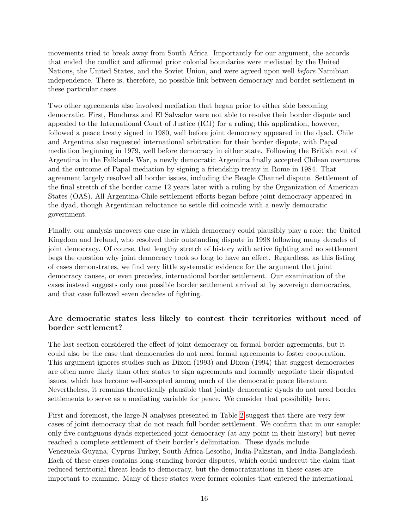movements tried to break away from South Africa. Importantly for our argument, the accords that ended the conflict and affirmed prior colonial boundaries were mediated by the United Nations, the United States, and the Soviet Union, and were agreed upon well before Namibian independence. There is, therefore, no possible link between democracy and border settlement in these particular cases.

Two other agreements also involved mediation that began prior to either side becoming democratic. First, Honduras and El Salvador were not able to resolve their border dispute and appealed to the International Court of Justice (ICJ) for a ruling; this application, however, followed a peace treaty signed in 1980, well before joint democracy appeared in the dyad. Chile and Argentina also requested international arbitration for their border dispute, with Papal mediation beginning in 1979, well before democracy in either state. Following the British rout of Argentina in the Falklands War, a newly democratic Argentina finally accepted Chilean overtures and the outcome of Papal mediation by signing a friendship treaty in Rome in 1984. That agreement largely resolved all border issues, including the Beagle Channel dispute. Settlement of the final stretch of the border came 12 years later with a ruling by the Organization of American States (OAS). All Argentina-Chile settlement efforts began before joint democracy appeared in the dyad, though Argentinian reluctance to settle did coincide with a newly democratic government.

Finally, our analysis uncovers one case in which democracy could plausibly play a role: the United Kingdom and Ireland, who resolved their outstanding dispute in 1998 following many decades of joint democracy. Of course, that lengthy stretch of history with active fighting and no settlement begs the question why joint democracy took so long to have an effect. Regardless, as this listing of cases demonstrates, we find very little systematic evidence for the argument that joint democracy causes, or even precedes, international border settlement. Our examination of the cases instead suggests only one possible border settlement arrived at by sovereign democracies, and that case followed seven decades of fighting.

## Are democratic states less likely to contest their territories without need of border settlement?

The last section considered the effect of joint democracy on formal border agreements, but it could also be the case that democracies do not need formal agreements to foster cooperation. This argument ignores studies such as Dixon (1993) and Dixon (1994) that suggest democracies are often more likely than other states to sign agreements and formally negotiate their disputed issues, which has become well-accepted among much of the democratic peace literature. Nevertheless, it remains theoretically plausible that jointly democratic dyads do not need border settlements to serve as a mediating variable for peace. We consider that possibility here.

First and foremost, the large-N analyses presented in Table [2](#page-11-0) suggest that there are very few cases of joint democracy that do not reach full border settlement. We confirm that in our sample: only five contiguous dyads experienced joint democracy (at any point in their history) but never reached a complete settlement of their border's delimitation. These dyads include Venezuela-Guyana, Cyprus-Turkey, South Africa-Lesotho, India-Pakistan, and India-Bangladesh. Each of these cases contains long-standing border disputes, which could undercut the claim that reduced territorial threat leads to democracy, but the democratizations in these cases are important to examine. Many of these states were former colonies that entered the international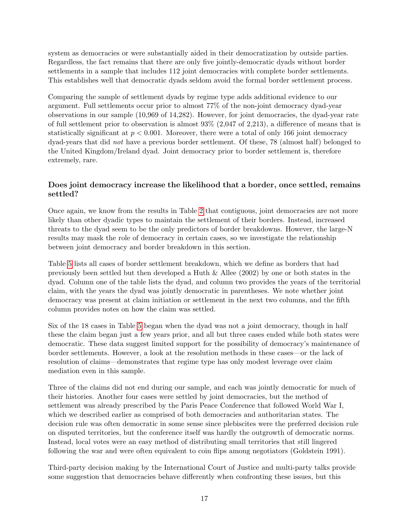system as democracies or were substantially aided in their democratization by outside parties. Regardless, the fact remains that there are only five jointly-democratic dyads without border settlements in a sample that includes 112 joint democracies with complete border settlements. This establishes well that democratic dyads seldom avoid the formal border settlement process.

Comparing the sample of settlement dyads by regime type adds additional evidence to our argument. Full settlements occur prior to almost 77% of the non-joint democracy dyad-year observations in our sample (10,969 of 14,282). However, for joint democracies, the dyad-year rate of full settlement prior to observation is almost 93% (2,047 of 2,213), a difference of means that is statistically significant at  $p < 0.001$ . Moreover, there were a total of only 166 joint democracy dyad-years that did not have a previous border settlement. Of these, 78 (almost half) belonged to the United Kingdom/Ireland dyad. Joint democracy prior to border settlement is, therefore extremely, rare.

## Does joint democracy increase the likelihood that a border, once settled, remains settled?

Once again, we know from the results in Table [2](#page-11-0) that contiguous, joint democracies are not more likely than other dyadic types to maintain the settlement of their borders. Instead, increased threats to the dyad seem to be the only predictors of border breakdowns. However, the large-N results may mask the role of democracy in certain cases, so we investigate the relationship between joint democracy and border breakdown in this section.

Table [5](#page-18-0) lists all cases of border settlement breakdown, which we define as borders that had previously been settled but then developed a Huth  $\&$  Allee (2002) by one or both states in the dyad. Column one of the table lists the dyad, and column two provides the years of the territorial claim, with the years the dyad was jointly democratic in parentheses. We note whether joint democracy was present at claim initiation or settlement in the next two columns, and the fifth column provides notes on how the claim was settled.

Six of the 18 cases in Table [5](#page-18-0) began when the dyad was not a joint democracy, though in half these the claim began just a few years prior, and all but three cases ended while both states were democratic. These data suggest limited support for the possibility of democracy's maintenance of border settlements. However, a look at the resolution methods in these cases—or the lack of resolution of claims—demonstrates that regime type has only modest leverage over claim mediation even in this sample.

Three of the claims did not end during our sample, and each was jointly democratic for much of their histories. Another four cases were settled by joint democracies, but the method of settlement was already prescribed by the Paris Peace Conference that followed World War I, which we described earlier as comprised of both democracies and authoritarian states. The decision rule was often democratic in some sense since plebiscites were the preferred decision rule on disputed territories, but the conference itself was hardly the outgrowth of democratic norms. Instead, local votes were an easy method of distributing small territories that still lingered following the war and were often equivalent to coin flips among negotiators (Goldstein 1991).

Third-party decision making by the International Court of Justice and multi-party talks provide some suggestion that democracies behave differently when confronting these issues, but this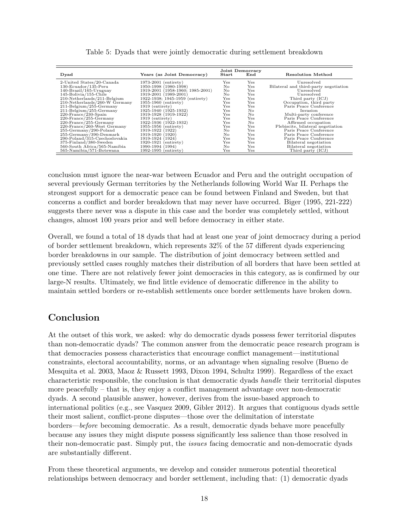<span id="page-18-0"></span>

| Dyad                          | Years (as Joint Democracy)              | Start | Joint Democracy<br>End | <b>Resolution Method</b>              |
|-------------------------------|-----------------------------------------|-------|------------------------|---------------------------------------|
| 2-United States/20-Canada     | $1973-2001$ (entirety)                  | Yes   | Yes                    | Unresolved                            |
| 130-Ecuador/135-Peru          | 1950-1998 (<br>$(1980 - 1998)$          | No    | Yes                    | Bilateral and third-party negotiation |
| $140$ -Brazil/165-Uruguay     | $(1958-1960; 1985-2001)$<br>1919-2001 ( | No    | Yes                    | Unresolved                            |
| 145-Bolivia/155-Chile         | 1919-2001 (1989-2001)                   | No    | Yes                    | Unresolved                            |
| 210-Netherlands/211-Belgium   | 1922-1938; 1945-1959 (entirety)         | Yes   | Yes                    | Third party (ICJ)                     |
| 210-Netherlands/260-W Germany | $1955-1960$ (entirety)                  | Yes   | Yes                    | Occupation, third party               |
| 211-Belgium/255-Germany       | $1919$ (entirety)                       | Yes   | Yes                    | Paris Peace Conference                |
| 211-Belgium/255-Germany       | 1925-1940 (1925-1932)                   | Yes   | No                     | Invasion                              |
| $220$ -France/230-Spain       | 1919-1928 (1919-1922)                   | Yes   | No.                    | Multi-party conference                |
| $220$ -France/255-Germany     | $1919$ (entirety)                       | Yes   | Yes                    | Paris Peace Conference                |
| $220$ -France/255-Germany     | 1922-1936 (1922-1932)                   | Yes   | No                     | Affirmed occupation                   |
| 220-France/260-West Germany   | 1955-1956 (entirety)                    | Yes   | Yes                    | Plebiscite, bilateral negotiation     |
| 255-Germany/290-Poland        | 1922)<br>1919-1922                      | No    | Yes                    | Paris Peace Conference                |
| 255-Germany/390-Denmark       | 1920)<br>1919-1920                      | No    | Yes                    | Paris Peace Conference                |
| 290-Poland/315-Czechoslovakia | 1919-1924 (<br>(1924)                   | Yes   | Yes                    | Paris Peace Conference                |
| 375-Finland/380-Sweden        | 1920-1921<br>$(\text{entiretv})$        | Yes   | Yes                    | Bilateral negotiation                 |
| 560-South Africa/565-Namibia  | 1990-1994<br>1994)                      | No.   | Yes                    | Bilateral negotiation                 |
| 565-Namibia/571-Botswana      | 1992-1995 (entirety)                    | Yes   | Yes                    | Third party (ICJ)                     |

Table 5: Dyads that were jointly democratic during settlement breakdown

conclusion must ignore the near-war between Ecuador and Peru and the outright occupation of several previously German territories by the Netherlands following World War II. Perhaps the strongest support for a democratic peace can be found between Finland and Sweden, but that concerns a conflict and border breakdown that may never have occurred. Biger (1995, 221-222) suggests there never was a dispute in this case and the border was completely settled, without changes, almost 100 years prior and well before democracy in either state.

Overall, we found a total of 18 dyads that had at least one year of joint democracy during a period of border settlement breakdown, which represents 32% of the 57 different dyads experiencing border breakdowns in our sample. The distribution of joint democracy between settled and previously settled cases roughly matches their distribution of all borders that have been settled at one time. There are not relatively fewer joint democracies in this category, as is confirmed by our large-N results. Ultimately, we find little evidence of democratic difference in the ability to maintain settled borders or re-establish settlements once border settlements have broken down.

## Conclusion

At the outset of this work, we asked: why do democratic dyads possess fewer territorial disputes than non-democratic dyads? The common answer from the democratic peace research program is that democracies possess characteristics that encourage conflict management—institutional constraints, electoral accountability, norms, or an advantage when signaling resolve (Bueno de Mesquita et al. 2003, Maoz & Russett 1993, Dixon 1994, Schultz 1999). Regardless of the exact characteristic responsible, the conclusion is that democratic dyads handle their territorial disputes more peacefully – that is, they enjoy a conflict management advantage over non-democratic dyads. A second plausible answer, however, derives from the issue-based approach to international politics (e.g., see Vasquez 2009, Gibler 2012). It argues that contiguous dyads settle their most salient, conflict-prone disputes—those over the delimitation of interstate borders—before becoming democratic. As a result, democratic dyads behave more peacefully because any issues they might dispute possess significantly less salience than those resolved in their non-democratic past. Simply put, the issues facing democratic and non-democratic dyads are substantially different.

From these theoretical arguments, we develop and consider numerous potential theoretical relationships between democracy and border settlement, including that: (1) democratic dyads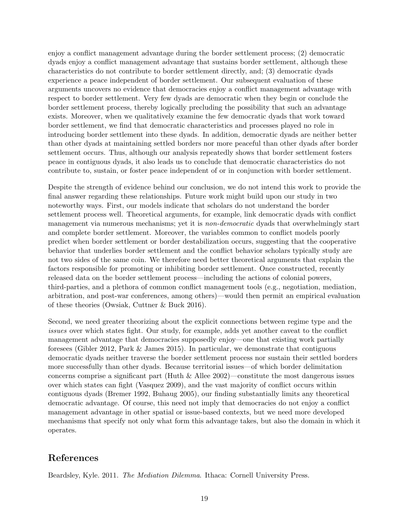enjoy a conflict management advantage during the border settlement process; (2) democratic dyads enjoy a conflict management advantage that sustains border settlement, although these characteristics do not contribute to border settlement directly, and; (3) democratic dyads experience a peace independent of border settlement. Our subsequent evaluation of these arguments uncovers no evidence that democracies enjoy a conflict management advantage with respect to border settlement. Very few dyads are democratic when they begin or conclude the border settlement process, thereby logically precluding the possibility that such an advantage exists. Moreover, when we qualitatively examine the few democratic dyads that work toward border settlement, we find that democratic characteristics and processes played no role in introducing border settlement into these dyads. In addition, democratic dyads are neither better than other dyads at maintaining settled borders nor more peaceful than other dyads after border settlement occurs. Thus, although our analysis repeatedly shows that border settlement fosters peace in contiguous dyads, it also leads us to conclude that democratic characteristics do not contribute to, sustain, or foster peace independent of or in conjunction with border settlement.

Despite the strength of evidence behind our conclusion, we do not intend this work to provide the final answer regarding these relationships. Future work might build upon our study in two noteworthy ways. First, our models indicate that scholars do not understand the border settlement process well. Theoretical arguments, for example, link democratic dyads with conflict management via numerous mechanisms; yet it is *non-democratic* dyads that overwhelmingly start and complete border settlement. Moreover, the variables common to conflict models poorly predict when border settlement or border destabilization occurs, suggesting that the cooperative behavior that underlies border settlement and the conflict behavior scholars typically study are not two sides of the same coin. We therefore need better theoretical arguments that explain the factors responsible for promoting or inhibiting border settlement. Once constructed, recently released data on the border settlement process—including the actions of colonial powers, third-parties, and a plethora of common conflict management tools (e.g., negotiation, mediation, arbitration, and post-war conferences, among others)—would then permit an empirical evaluation of these theories (Owsiak, Cuttner & Buck 2016).

Second, we need greater theorizing about the explicit connections between regime type and the issues over which states fight. Our study, for example, adds yet another caveat to the conflict management advantage that democracies supposedly enjoy—one that existing work partially foresees (Gibler 2012, Park & James 2015). In particular, we demonstrate that contiguous democratic dyads neither traverse the border settlement process nor sustain their settled borders more successfully than other dyads. Because territorial issues—of which border delimitation concerns comprise a significant part (Huth  $\&$  Allee 2002)—constitute the most dangerous issues over which states can fight (Vasquez 2009), and the vast majority of conflict occurs within contiguous dyads (Bremer 1992, Buhaug 2005), our finding substantially limits any theoretical democratic advantage. Of course, this need not imply that democracies do not enjoy a conflict management advantage in other spatial or issue-based contexts, but we need more developed mechanisms that specify not only what form this advantage takes, but also the domain in which it operates.

# References

Beardsley, Kyle. 2011. The Mediation Dilemma. Ithaca: Cornell University Press.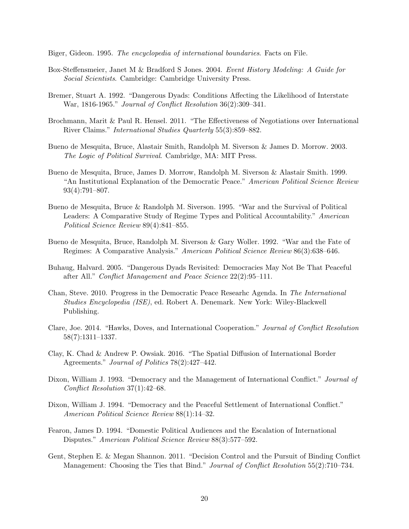Biger, Gideon. 1995. The encyclopedia of international boundaries. Facts on File.

- Box-Steffensmeier, Janet M & Bradford S Jones. 2004. Event History Modeling: A Guide for Social Scientists. Cambridge: Cambridge University Press.
- Bremer, Stuart A. 1992. "Dangerous Dyads: Conditions Affecting the Likelihood of Interstate War, 1816-1965." Journal of Conflict Resolution 36(2):309–341.
- Brochmann, Marit & Paul R. Hensel. 2011. "The Effectiveness of Negotiations over International River Claims." International Studies Quarterly 55(3):859–882.
- Bueno de Mesquita, Bruce, Alastair Smith, Randolph M. Siverson & James D. Morrow. 2003. The Logic of Political Survival. Cambridge, MA: MIT Press.
- Bueno de Mesquita, Bruce, James D. Morrow, Randolph M. Siverson & Alastair Smith. 1999. "An Institutional Explanation of the Democratic Peace." American Political Science Review 93(4):791–807.
- Bueno de Mesquita, Bruce & Randolph M. Siverson. 1995. "War and the Survival of Political Leaders: A Comparative Study of Regime Types and Political Accountability." American Political Science Review 89(4):841–855.
- Bueno de Mesquita, Bruce, Randolph M. Siverson & Gary Woller. 1992. "War and the Fate of Regimes: A Comparative Analysis." American Political Science Review 86(3):638–646.
- Buhaug, Halvard. 2005. "Dangerous Dyads Revisited: Democracies May Not Be That Peaceful after All." Conflict Management and Peace Science 22(2):95–111.
- Chan, Steve. 2010. Progress in the Democratic Peace Researhc Agenda. In The International Studies Encyclopedia (ISE), ed. Robert A. Denemark. New York: Wiley-Blackwell Publishing.
- Clare, Joe. 2014. "Hawks, Doves, and International Cooperation." Journal of Conflict Resolution 58(7):1311–1337.
- Clay, K. Chad & Andrew P. Owsiak. 2016. "The Spatial Diffusion of International Border Agreements." Journal of Politics 78(2):427–442.
- Dixon, William J. 1993. "Democracy and the Management of International Conflict." Journal of Conflict Resolution 37(1):42–68.
- Dixon, William J. 1994. "Democracy and the Peaceful Settlement of International Conflict." American Political Science Review 88(1):14–32.
- Fearon, James D. 1994. "Domestic Political Audiences and the Escalation of International Disputes." American Political Science Review 88(3):577–592.
- Gent, Stephen E. & Megan Shannon. 2011. "Decision Control and the Pursuit of Binding Conflict Management: Choosing the Ties that Bind." Journal of Conflict Resolution 55(2):710–734.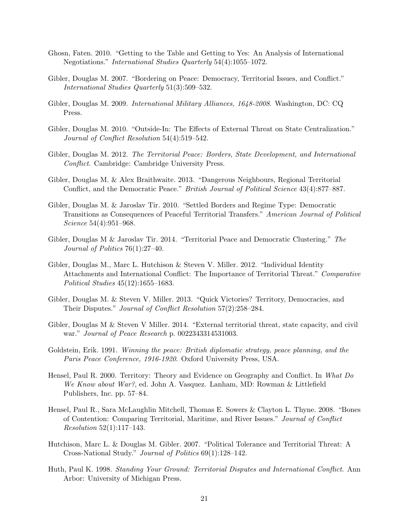- Ghosn, Faten. 2010. "Getting to the Table and Getting to Yes: An Analysis of International Negotiations." International Studies Quarterly 54(4):1055–1072.
- Gibler, Douglas M. 2007. "Bordering on Peace: Democracy, Territorial Issues, and Conflict." International Studies Quarterly 51(3):509–532.
- Gibler, Douglas M. 2009. International Military Alliances, 1648-2008. Washington, DC: CQ Press.
- Gibler, Douglas M. 2010. "Outside-In: The Effects of External Threat on State Centralization." Journal of Conflict Resolution 54(4):519–542.
- Gibler, Douglas M. 2012. The Territorial Peace: Borders, State Development, and International Conflict. Cambridge: Cambridge University Press.
- Gibler, Douglas M. & Alex Braithwaite. 2013. "Dangerous Neighbours, Regional Territorial Conflict, and the Democratic Peace." British Journal of Political Science 43(4):877–887.
- Gibler, Douglas M. & Jaroslav Tir. 2010. "Settled Borders and Regime Type: Democratic Transitions as Consequences of Peaceful Territorial Transfers." American Journal of Political Science 54(4):951–968.
- Gibler, Douglas M & Jaroslav Tir. 2014. "Territorial Peace and Democratic Clustering." The Journal of Politics 76(1):27–40.
- Gibler, Douglas M., Marc L. Hutchison & Steven V. Miller. 2012. "Individual Identity Attachments and International Conflict: The Importance of Territorial Threat." Comparative Political Studies 45(12):1655–1683.
- Gibler, Douglas M. & Steven V. Miller. 2013. "Quick Victories? Territory, Democracies, and Their Disputes." Journal of Conflict Resolution 57(2):258–284.
- Gibler, Douglas M & Steven V Miller. 2014. "External territorial threat, state capacity, and civil war." Journal of Peace Research p. 0022343314531003.
- Goldstein, Erik. 1991. *Winning the peace: British diplomatic strategy, peace planning, and the* Paris Peace Conference, 1916-1920. Oxford University Press, USA.
- Hensel, Paul R. 2000. Territory: Theory and Evidence on Geography and Conflict. In What Do We Know about War?, ed. John A. Vasquez. Lanham, MD: Rowman & Littlefield Publishers, Inc. pp. 57–84.
- Hensel, Paul R., Sara McLaughlin Mitchell, Thomas E. Sowers & Clayton L. Thyne. 2008. "Bones of Contention: Comparing Territorial, Maritime, and River Issues." Journal of Conflict Resolution 52(1):117–143.
- Hutchison, Marc L. & Douglas M. Gibler. 2007. "Political Tolerance and Territorial Threat: A Cross-National Study." Journal of Politics 69(1):128–142.
- Huth, Paul K. 1998. Standing Your Ground: Territorial Disputes and International Conflict. Ann Arbor: University of Michigan Press.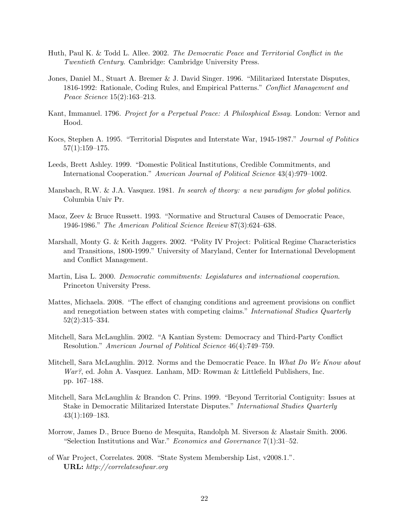- Huth, Paul K. & Todd L. Allee. 2002. The Democratic Peace and Territorial Conflict in the Twentieth Century. Cambridge: Cambridge University Press.
- Jones, Daniel M., Stuart A. Bremer & J. David Singer. 1996. "Militarized Interstate Disputes, 1816-1992: Rationale, Coding Rules, and Empirical Patterns." Conflict Management and Peace Science 15(2):163–213.
- Kant, Immanuel. 1796. Project for a Perpetual Peace: A Philosphical Essay. London: Vernor and Hood.
- Kocs, Stephen A. 1995. "Territorial Disputes and Interstate War, 1945-1987." Journal of Politics 57(1):159–175.
- Leeds, Brett Ashley. 1999. "Domestic Political Institutions, Credible Commitments, and International Cooperation." American Journal of Political Science 43(4):979–1002.
- Mansbach, R.W. & J.A. Vasquez. 1981. In search of theory: a new paradigm for global politics. Columbia Univ Pr.
- Maoz, Zeev & Bruce Russett. 1993. "Normative and Structural Causes of Democratic Peace, 1946-1986." The American Political Science Review 87(3):624–638.
- Marshall, Monty G. & Keith Jaggers. 2002. "Polity IV Project: Political Regime Characteristics and Transitions, 1800-1999." University of Maryland, Center for International Development and Conflict Management.
- Martin, Lisa L. 2000. Democratic commitments: Legislatures and international cooperation. Princeton University Press.
- Mattes, Michaela. 2008. "The effect of changing conditions and agreement provisions on conflict and renegotiation between states with competing claims." International Studies Quarterly 52(2):315–334.
- Mitchell, Sara McLaughlin. 2002. "A Kantian System: Democracy and Third-Party Conflict Resolution." American Journal of Political Science 46(4):749–759.
- Mitchell, Sara McLaughlin. 2012. Norms and the Democratic Peace. In What Do We Know about War?, ed. John A. Vasquez. Lanham, MD: Rowman & Littlefield Publishers, Inc. pp. 167–188.
- Mitchell, Sara McLaughlin & Brandon C. Prins. 1999. "Beyond Territorial Contiguity: Issues at Stake in Democratic Militarized Interstate Disputes." International Studies Quarterly 43(1):169–183.
- Morrow, James D., Bruce Bueno de Mesquita, Randolph M. Siverson & Alastair Smith. 2006. "Selection Institutions and War." Economics and Governance 7(1):31–52.
- of War Project, Correlates. 2008. "State System Membership List, v2008.1.". URL: http://correlatesofwar.org